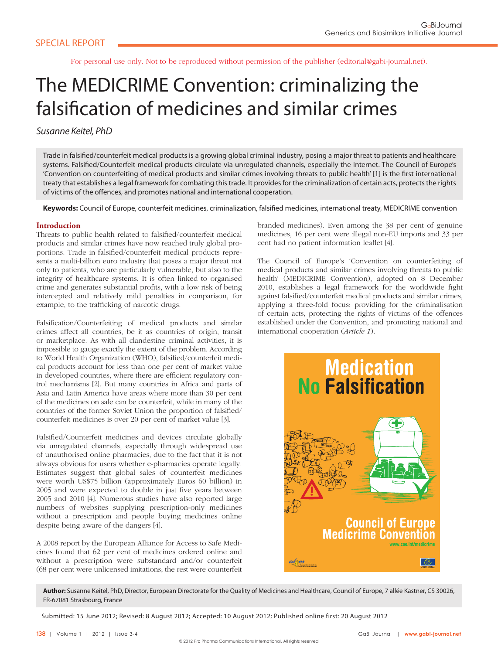For personal use only. Not to be reproduced without permission of the publisher (editorial@gabi-journal.net).

# The MEDICRIME Convention: criminalizing the falsification of medicines and similar crimes

# Susanne Keitel, PhD

Trade in falsified/counterfeit medical products is a growing global criminal industry, posing a major threat to patients and healthcare systems. Falsified/Counterfeit medical products circulate via unregulated channels, especially the Internet. The Council of Europe's 'Convention on counterfeiting of medical products and similar crimes involving threats to public health' [1] is the first international treaty that establishes a legal framework for combating this trade. It provides for the criminalization of certain acts, protects the rights of victims of the offences, and promotes national and international cooperation.

Keywords: Council of Europe, counterfeit medicines, criminalization, falsified medicines, international treaty, MEDICRIME convention

# **Introduction**

Threats to public health related to falsified/counterfeit medical products and similar crimes have now reached truly global proportions. Trade in falsified/counterfeit medical products represents a multi-billion euro industry that poses a major threat not only to patients, who are particularly vulnerable, but also to the integrity of healthcare systems. It is often linked to organised crime and generates substantial profits, with a low risk of being intercepted and relatively mild penalties in comparison, for example, to the trafficking of narcotic drugs.

Falsification/Counterfeiting of medical products and similar crimes affect all countries, be it as countries of origin, transit or marketplace. As with all clandestine criminal activities, it is impossible to gauge exactly the extent of the problem. According to World Health Organization (WHO), falsified/counterfeit medical products account for less than one per cent of market value in developed countries, where there are efficient regulatory control mechanisms [2]. But many countries in Africa and parts of Asia and Latin America have areas where more than 30 per cent of the medicines on sale can be counterfeit, while in many of the countries of the former Soviet Union the proportion of falsified/ counterfeit medicines is over 20 per cent of market value [3].

Falsified/Counterfeit medicines and devices circulate globally via unregulated channels, especially through widespread use of unauthorised online pharmacies, due to the fact that it is not always obvious for users whether e-pharmacies operate legally. Estimates suggest that global sales of counterfeit medicines were worth US\$75 billion (approximately Euros 60 billion) in 2005 and were expected to double in just five years between 2005 and 2010 [4]. Numerous studies have also reported large numbers of websites supplying prescription-only medicines without a prescription and people buying medicines online despite being aware of the dangers [4].

A 2008 report by the European Alliance for Access to Safe Medicines found that 62 per cent of medicines ordered online and without a prescription were substandard and/or counterfeit (68 per cent were unlicensed imitations; the rest were counterfeit branded medicines). Even among the 38 per cent of genuine medicines, 16 per cent were illegal non-EU imports and 33 per cent had no patient information leaflet [4].

The Council of Europe's 'Convention on counterfeiting of medical products and similar crimes involving threats to public health' (MEDICRIME Convention), adopted on 8 December 2010, establishes a legal framework for the worldwide fight against falsified/counterfeit medical products and similar crimes, applying a three-fold focus: providing for the criminalisation of certain acts, protecting the rights of victims of the offences established under the Convention, and promoting national and international cooperation (*Article 1*).



**Author:** Susanne Keitel, PhD, Director, European Directorate for the Quality of Medicines and Healthcare, Council of Europe, 7 allée Kastner, CS 30026, FR-67081 Strasbourg, France

Submitted: 15 June 2012; Revised: 8 August 2012; Accepted: 10 August 2012; Published online first: 20 August 2012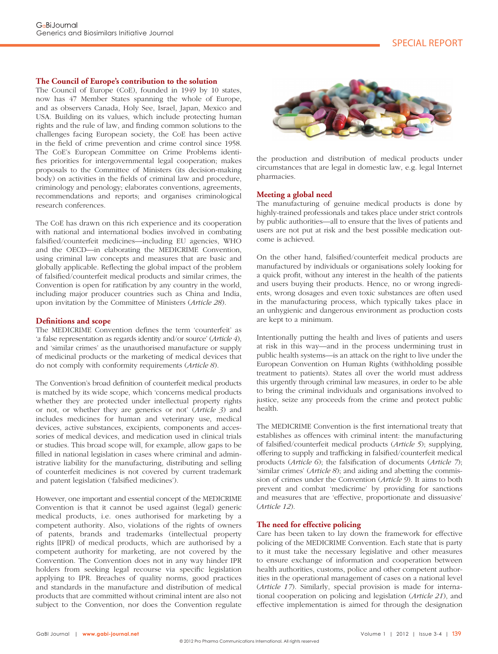#### **The Council of Europe's contribution to the solution**

The Council of Europe (CoE), founded in 1949 by 10 states, now has 47 Member States spanning the whole of Europe, and as observers Canada, Holy See, Israel, Japan, Mexico and USA. Building on its values, which include protecting human rights and the rule of law, and finding common solutions to the challenges facing European society, the CoE has been active in the field of crime prevention and crime control since 1958. The CoE's European Committee on Crime Problems identifies priorities for intergovernmental legal cooperation; makes proposals to the Committee of Ministers (its decision-making body) on activities in the fields of criminal law and procedure, criminology and penology; elaborates conventions, agreements, recommendations and reports; and organises criminological research conferences.

The CoE has drawn on this rich experience and its cooperation with national and international bodies involved in combating falsified/counterfeit medicines—including EU agencies, WHO and the OECD—in elaborating the MEDICRIME Convention, using criminal law concepts and measures that are basic and globally applicable. Reflecting the global impact of the problem of falsified/counterfeit medical products and similar crimes, the Convention is open for ratification by any country in the world, including major producer countries such as China and India, upon invitation by the Committee of Ministers (*Article 28*).

#### **Definitions and scope**

The MEDICRIME Convention defines the term 'counterfeit' as 'a false representation as regards identity and/or source' (*Article 4*), and 'similar crimes' as the unauthorised manufacture or supply of medicinal products or the marketing of medical devices that do not comply with conformity requirements (*Article 8*).

The Convention's broad definition of counterfeit medical products is matched by its wide scope, which 'concerns medical products whether they are protected under intellectual property rights or not, or whether they are generics or not' (*Article 3*) and includes medicines for human and veterinary use, medical devices, active substances, excipients, components and accessories of medical devices, and medication used in clinical trials or studies. This broad scope will, for example, allow gaps to be filled in national legislation in cases where criminal and administrative liability for the manufacturing, distributing and selling of counterfeit medicines is not covered by current trademark and patent legislation ('falsified medicines').

However, one important and essential concept of the MEDICRIME Convention is that it cannot be used against (legal) generic medical products, i.e. ones authorised for marketing by a competent authority. Also, violations of the rights of owners of patents, brands and trademarks (intellectual property rights [IPR]) of medical products, which are authorised by a competent authority for marketing, are not covered by the Convention. The Convention does not in any way hinder IPR holders from seeking legal recourse via specific legislation applying to IPR. Breaches of quality norms, good practices and standards in the manufacture and distribution of medical products that are committed without criminal intent are also not subject to the Convention, nor does the Convention regulate



the production and distribution of medical products under circumstances that are legal in domestic law, e.g. legal Internet pharmacies.

#### **Meeting a global need**

The manufacturing of genuine medical products is done by highly-trained professionals and takes place under strict controls by public authorities—all to ensure that the lives of patients and users are not put at risk and the best possible medication outcome is achieved.

On the other hand, falsified/counterfeit medical products are manufactured by individuals or organisations solely looking for a quick profit, without any interest in the health of the patients and users buying their products. Hence, no or wrong ingredients, wrong dosages and even toxic substances are often used in the manufacturing process, which typically takes place in an unhygienic and dangerous environment as production costs are kept to a minimum.

Intentionally putting the health and lives of patients and users at risk in this way—and in the process undermining trust in public health systems—is an attack on the right to live under the European Convention on Human Rights (withholding possible treatment to patients). States all over the world must address this urgently through criminal law measures, in order to be able to bring the criminal individuals and organisations involved to justice, seize any proceeds from the crime and protect public health.

The MEDICRIME Convention is the first international treaty that establishes as offences with criminal intent: the manufacturing of falsified/counterfeit medical products (Article 5); supplying, offering to supply and trafficking in falsified/counterfeit medical products (*Article 6*); the falsification of documents (*Article* 7); 'similar crimes' (*Article 8*); and aiding and abetting the commission of crimes under the Convention (*Article 9*). It aims to both prevent and combat 'medicrime' by providing for sanctions and measures that are 'effective, proportionate and dissuasive' (*Article 12*).

#### **The need for effective policing**

Care has been taken to lay down the framework for effective policing of the MEDICRIME Convention. Each state that is party to it must take the necessary legislative and other measures to ensure exchange of information and cooperation between health authorities, customs, police and other competent authorities in the operational management of cases on a national level (*Article 17*). Similarly, special provision is made for international cooperation on policing and legislation (*Article 21*), and effective implementation is aimed for through the designation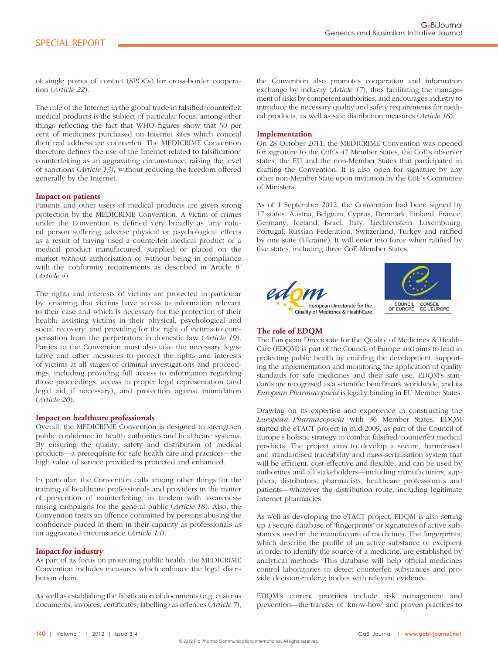of single points of contact (SPOCs) for cross-border cooperation (*Article 22*).

The role of the Internet in the global trade in falsified/counterfeit medical products is the subject of particular focus, among other things reflecting the fact that WHO figures show that 50 per cent of medicines purchased on Internet sites which conceal their real address are counterfeit. The MEDICRIME Convention therefore defines the use of the Internet related to falsification/ counterfeiting as an aggravating circumstance, raising the level of sanctions (*Article 13*), without reducing the freedom offered generally by the Internet.

# **Impact on patients**

Patients and other users of medical products are given strong protection by the MEDICRIME Convention. A victim of crimes under the Convention is defined very broadly as 'any natural person suffering adverse physical or psychological effects as a result of having used a counterfeit medical product or a medical product manufactured, supplied or placed on the market without authorisation or without being in compliance with the conformity requirements as described in Article 8*'* (*Article 4*).

The rights and interests of victims are protected in particular by: ensuring that victims have access to information relevant to their case and which is necessary for the protection of their health; assisting victims in their physical, psychological and social recovery; and providing for the right of victims to compensation from the perpetrators in domestic law (*Article 19*). Parties to the Convention must also take the necessary legislative and other measures to protect the rights and interests of victims at all stages of criminal investigations and proceedings, including providing full access to information regarding those proceedings, access to proper legal representation (and legal aid if necessary), and protection against intimidation (*Article 20*).

#### **Impact on healthcare professionals**

Overall, the MEDICRIME Convention is designed to strengthen public confidence in health authorities and healthcare systems. By ensuring the quality, safety and distribution of medical products—a prerequisite for safe health care and practices—the high value of service provided is protected and enhanced.

In particular, the Convention calls among other things for the training of healthcare professionals and providers in the matter of prevention of counterfeiting, in tandem with awarenessraising campaigns for the general public (*Article 18*). Also, the Convention treats an offence committed by persons abusing the confidence placed in them in their capacity as professionals as an aggravated circumstance (*Article 13*).

# **Impact for industry**

As part of its focus on protecting public health, the MEDICRIME Convention includes measures which enhance the legal distribution chain.

As well as establishing the falsification of documents (e.g. customs documents, invoices, certificates, labelling) as offences (*Article* 7), the Convention also promotes cooperation and information exchange by industry (*Article 17*), thus facilitating the management of risks by competent authorities, and encourages industry to introduce the necessary quality and safety requirements for medical products, as well as safe distribution measures (*Article 18*).

#### **Implementation**

On 28 October 2011, the MEDICRIME Convention was opened for signature to the CoE's 47 Member States, the CoE's observer states, the EU and the non-Member States that participated in drafting the Convention. It is also open for signature by any other non-Member State upon invitation by the CoE's Committee of Ministers.

As of 1 September 2012, the Convention had been signed by 17 states: Austria, Belgium, Cyprus, Denmark, Finland, France, Germany, Iceland, Israel, Italy, Liechtenstein, Luxembourg, Portugal, Russian Federation, Switzerland, Turkey and ratified by one state (Ukraine). It will enter into force when ratified by five states, including three CoE Member States.





# **The role of EDQM**

The European Directorate for the Quality of Medicines & Health-Care (EDQM) is part of the Council of Europe and aims to lead in protecting public health by enabling the development, supporting the implementation and monitoring the application of quality standards for safe medicines and their safe use. EDQM's standards are recognised as a scientific benchmark worldwide, and its *European Pharmacopoeia* is legally binding in EU Member States.

Drawing on its expertise and experience in constructing the *European Pharmacopoeia* with 36 Member States, EDQM started the eTACT project in mid-2009, as part of the Council of Europe's holistic strategy to combat falsified/counterfeit medical products. The project aims to develop a secure, harmonised and standardised traceability and mass-serialisation system that will be efficient, cost-effective and flexible, and can be used by authorities and all stakeholders—including manufacturers, suppliers, distributors, pharmacists, healthcare professionals and patients—whatever the distribution route, including legitimate Internet pharmacies.

As well as developing the eTACT project, EDQM is also setting up a secure database of 'fingerprints' or signatures of active substances used in the manufacture of medicines. The fingerprints, which describe the profile of an active substance or excipient in order to identify the source of a medicine, are established by analytical methods. This database will help official medicines control laboratories to detect counterfeit substances and provide decision-making bodies with relevant evidence.

EDQM's current priorities include risk management and prevention—the transfer of 'know-how' and proven practices to